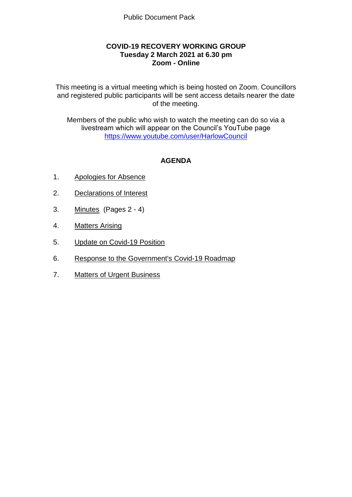## **COVID-19 RECOVERY WORKING GROUP Tuesday 2 March 2021 at 6.30 pm Zoom - Online**

This meeting is a virtual meeting which is being hosted on Zoom. Councillors and registered public participants will be sent access details nearer the date of the meeting.

Members of the public who wish to watch the meeting can do so via a livestream which will appear on the Council's YouTube page <https://www.youtube.com/user/HarlowCouncil>

# **AGENDA**

- 1. Apologies for Absence
- 2. Declarations of Interest
- 3. Minutes (Pages 2 4)
- 4. Matters Arising
- 5. Update on Covid-19 Position
- 6. Response to the Government's Covid-19 Roadmap
- 7. Matters of Urgent Business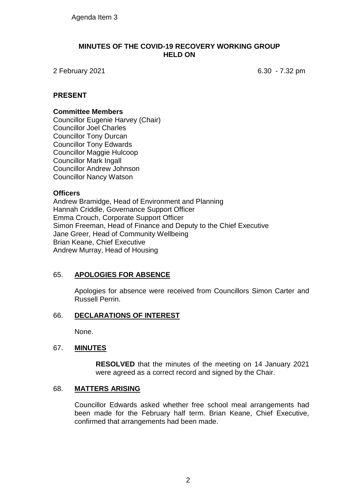#### **MINUTES OF THE COVID-19 RECOVERY WORKING GROUP HELD ON**

2 February 2021 6.30 - 7.32 pm

## **PRESENT**

#### **Committee Members**

Councillor Eugenie Harvey (Chair) Councillor Joel Charles Councillor Tony Durcan Councillor Tony Edwards Councillor Maggie Hulcoop Councillor Mark Ingall Councillor Andrew Johnson Councillor Nancy Watson

### **Officers**

Andrew Bramidge, Head of Environment and Planning Hannah Criddle, Governance Support Officer Emma Crouch, Corporate Support Officer Simon Freeman, Head of Finance and Deputy to the Chief Executive Jane Greer, Head of Community Wellbeing Brian Keane, Chief Executive Andrew Murray, Head of Housing

### 65. **APOLOGIES FOR ABSENCE**

Apologies for absence were received from Councillors Simon Carter and Russell Perrin.

### 66. **DECLARATIONS OF INTEREST**

None.

### 67. **MINUTES**

**RESOLVED** that the minutes of the meeting on 14 January 2021 were agreed as a correct record and signed by the Chair.

### 68. **MATTERS ARISING**

Councillor Edwards asked whether free school meal arrangements had been made for the February half term. Brian Keane, Chief Executive, confirmed that arrangements had been made.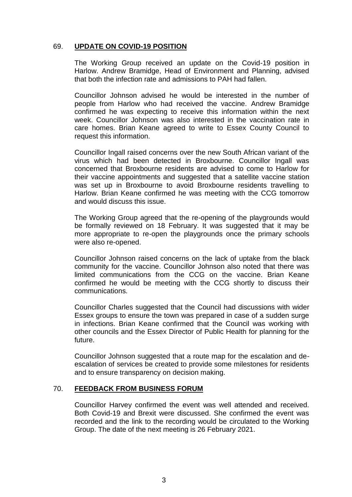### 69. **UPDATE ON COVID-19 POSITION**

The Working Group received an update on the Covid-19 position in Harlow. Andrew Bramidge, Head of Environment and Planning, advised that both the infection rate and admissions to PAH had fallen.

Councillor Johnson advised he would be interested in the number of people from Harlow who had received the vaccine. Andrew Bramidge confirmed he was expecting to receive this information within the next week. Councillor Johnson was also interested in the vaccination rate in care homes. Brian Keane agreed to write to Essex County Council to request this information.

Councillor Ingall raised concerns over the new South African variant of the virus which had been detected in Broxbourne. Councillor Ingall was concerned that Broxbourne residents are advised to come to Harlow for their vaccine appointments and suggested that a satellite vaccine station was set up in Broxbourne to avoid Broxbourne residents travelling to Harlow. Brian Keane confirmed he was meeting with the CCG tomorrow and would discuss this issue.

The Working Group agreed that the re-opening of the playgrounds would be formally reviewed on 18 February. It was suggested that it may be more appropriate to re-open the playgrounds once the primary schools were also re-opened.

Councillor Johnson raised concerns on the lack of uptake from the black community for the vaccine. Councillor Johnson also noted that there was limited communications from the CCG on the vaccine. Brian Keane confirmed he would be meeting with the CCG shortly to discuss their communications.

Councillor Charles suggested that the Council had discussions with wider Essex groups to ensure the town was prepared in case of a sudden surge in infections. Brian Keane confirmed that the Council was working with other councils and the Essex Director of Public Health for planning for the future.

Councillor Johnson suggested that a route map for the escalation and deescalation of services be created to provide some milestones for residents and to ensure transparency on decision making.

### 70. **FEEDBACK FROM BUSINESS FORUM**

Councillor Harvey confirmed the event was well attended and received. Both Covid-19 and Brexit were discussed. She confirmed the event was recorded and the link to the recording would be circulated to the Working Group. The date of the next meeting is 26 February 2021.